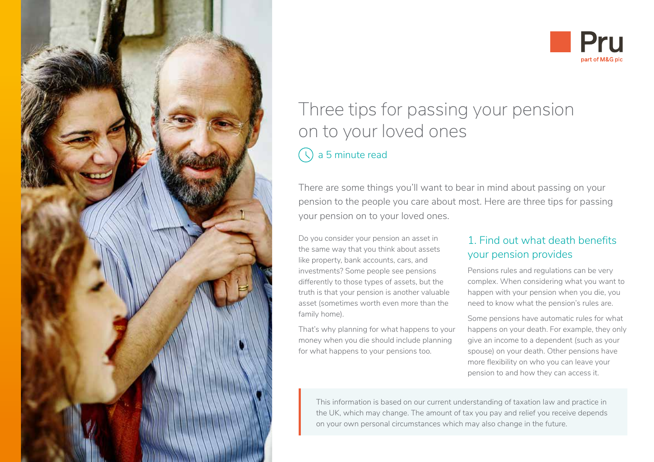



# Three tips for passing your pension on to your loved ones

# a 5 minute read

There are some things you'll want to bear in mind about passing on your pension to the people you care about most. Here are three tips for passing your pension on to your loved ones.

Do you consider your pension an asset in the same way that you think about assets like property, bank accounts, cars, and investments? Some people see pensions differently to those types of assets, but the truth is that your pension is another valuable asset (sometimes worth even more than the family home).

That's why planning for what happens to your money when you die should include planning for what happens to your pensions too.

## 1. Find out what death benefits your pension provides

Pensions rules and regulations can be very complex. When considering what you want to happen with your pension when you die, you need to know what the pension's rules are.

Some pensions have automatic rules for what happens on your death. For example, they only give an income to a dependent (such as your spouse) on your death. Other pensions have more flexibility on who you can leave your pension to and how they can access it.

This information is based on our current understanding of taxation law and practice in the UK, which may change. The amount of tax you pay and relief you receive depends on your own personal circumstances which may also change in the future.